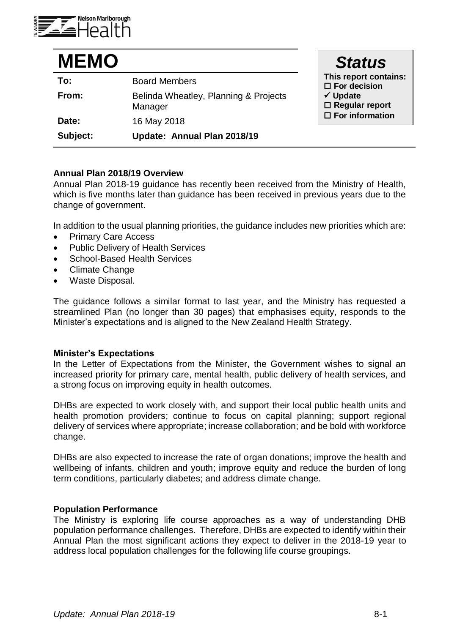

| <b>MEMO</b> |                                                  | <b>Status</b>                                                                                   |
|-------------|--------------------------------------------------|-------------------------------------------------------------------------------------------------|
| To:         | <b>Board Members</b>                             | This report contains:<br>$\square$ For decision<br>$\checkmark$ Update<br>$\Box$ Regular report |
| From:       | Belinda Wheatley, Planning & Projects<br>Manager |                                                                                                 |
| Date:       | 16 May 2018                                      | $\Box$ For information                                                                          |
| Subject:    | Update: Annual Plan 2018/19                      |                                                                                                 |

# **Annual Plan 2018/19 Overview**

Annual Plan 2018-19 guidance has recently been received from the Ministry of Health, which is five months later than guidance has been received in previous years due to the change of government.

In addition to the usual planning priorities, the guidance includes new priorities which are:

- Primary Care Access
- Public Delivery of Health Services
- School-Based Health Services
- Climate Change
- Waste Disposal.

The guidance follows a similar format to last year, and the Ministry has requested a streamlined Plan (no longer than 30 pages) that emphasises equity, responds to the Minister's expectations and is aligned to the New Zealand Health Strategy.

# **Minister's Expectations**

In the Letter of Expectations from the Minister, the Government wishes to signal an increased priority for primary care, mental health, public delivery of health services, and a strong focus on improving equity in health outcomes.

DHBs are expected to work closely with, and support their local public health units and health promotion providers; continue to focus on capital planning; support regional delivery of services where appropriate; increase collaboration; and be bold with workforce change.

DHBs are also expected to increase the rate of organ donations; improve the health and wellbeing of infants, children and youth; improve equity and reduce the burden of long term conditions, particularly diabetes; and address climate change.

## **Population Performance**

The Ministry is exploring life course approaches as a way of understanding DHB population performance challenges. Therefore, DHBs are expected to identify within their Annual Plan the most significant actions they expect to deliver in the 2018-19 year to address local population challenges for the following life course groupings.